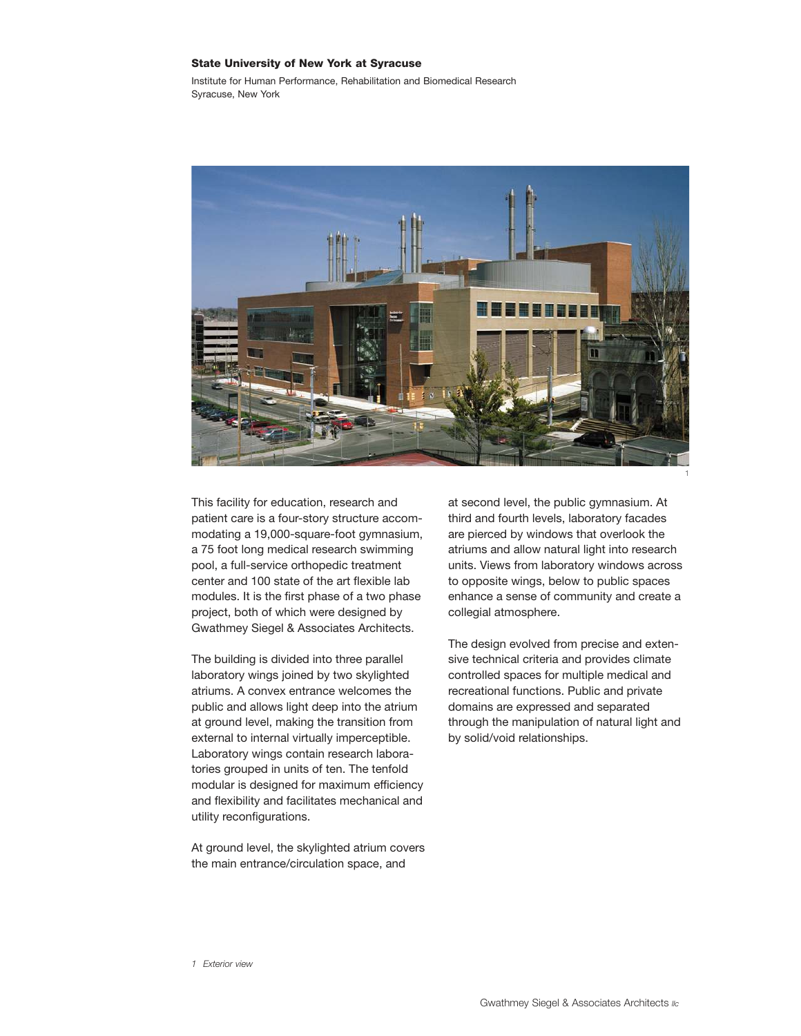## State University of New York at Syracuse

Institute for Human Performance, Rehabilitation and Biomedical Research Syracuse, New York



This facility for education, research and patient care is a four-story structure accommodating a 19,000-square-foot gymnasium, a 75 foot long medical research swimming pool, a full-service orthopedic treatment center and 100 state of the art flexible lab modules. It is the first phase of a two phase project, both of which were designed by Gwathmey Siegel & Associates Architects.

The building is divided into three parallel laboratory wings joined by two skylighted atriums. A convex entrance welcomes the public and allows light deep into the atrium at ground level, making the transition from external to internal virtually imperceptible. Laboratory wings contain research laboratories grouped in units of ten. The tenfold modular is designed for maximum efficiency and flexibility and facilitates mechanical and utility reconfigurations.

At ground level, the skylighted atrium covers the main entrance/circulation space, and

at second level, the public gymnasium. At third and fourth levels, laboratory facades are pierced by windows that overlook the atriums and allow natural light into research units. Views from laboratory windows across to opposite wings, below to public spaces enhance a sense of community and create a collegial atmosphere.

The design evolved from precise and extensive technical criteria and provides climate controlled spaces for multiple medical and recreational functions. Public and private domains are expressed and separated through the manipulation of natural light and by solid/void relationships.

*1 Exterior view*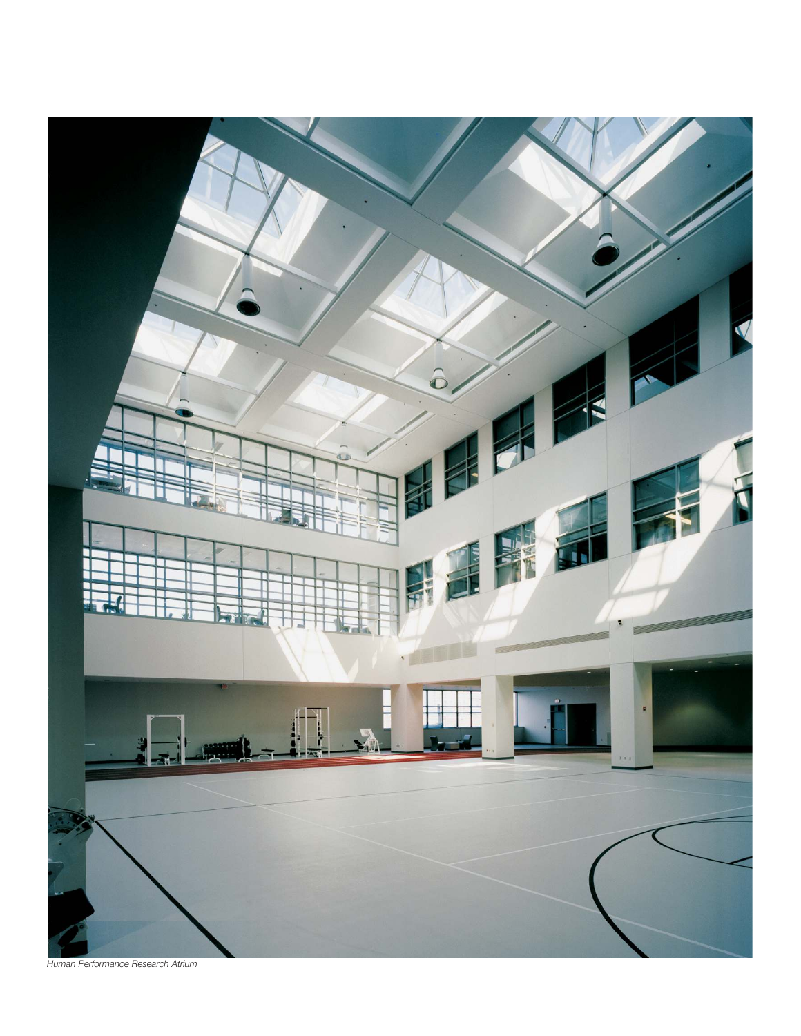

*Human Performance Research Atrium*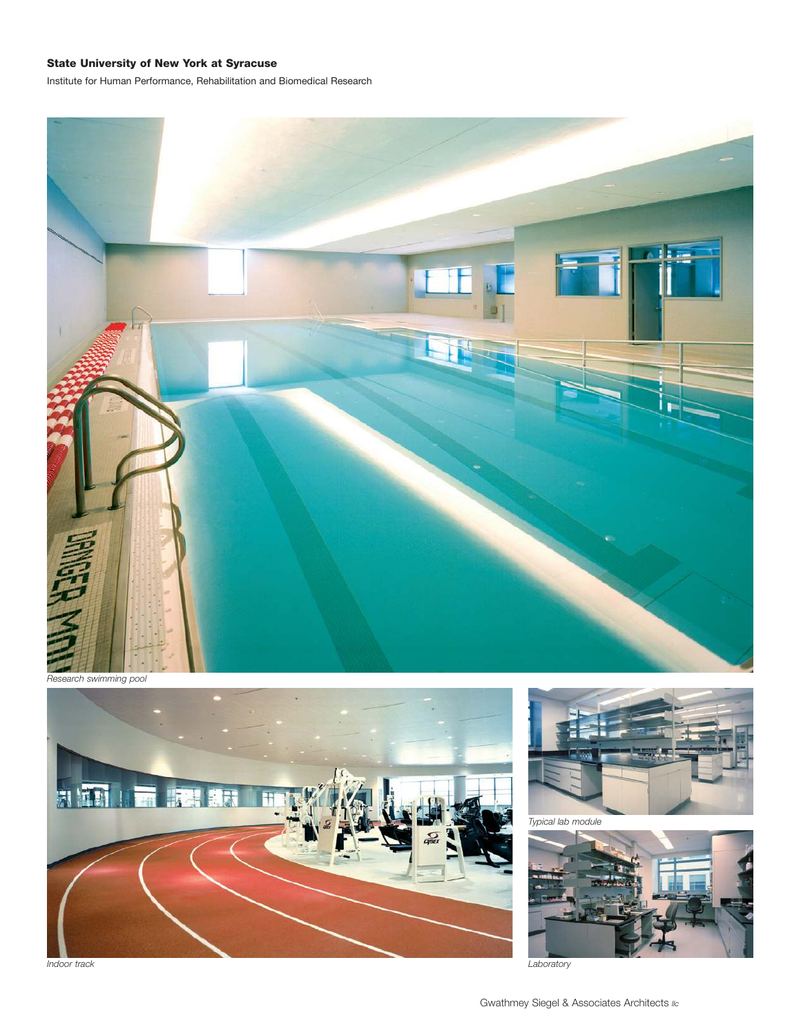## State University of New York at Syracuse

Institute for Human Performance, Rehabilitation and Biomedical Research



*Research swimming pool*





*Typical lab module*



*Indoor track Laboratory*